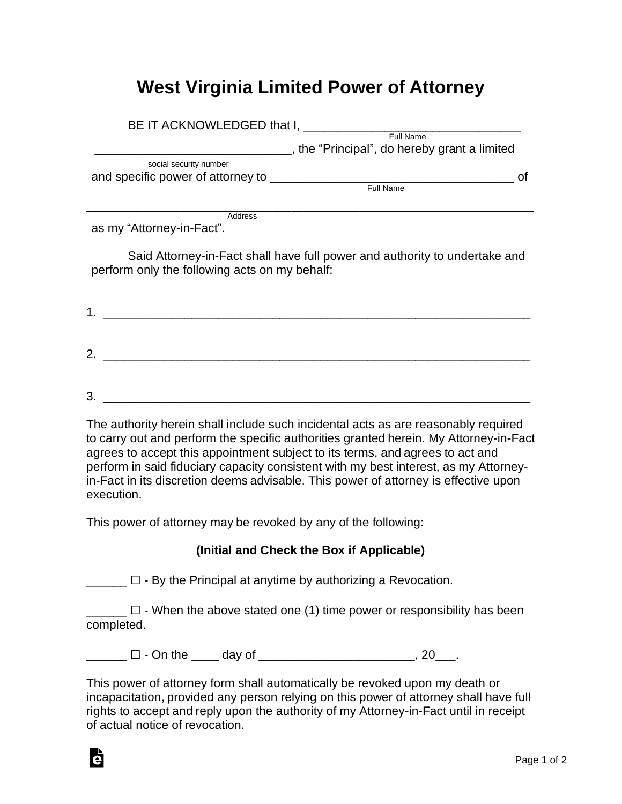## **West Virginia Limited Power of Attorney**

| BE IT ACKNOWLEDGED that I,        |                                              |  |  |
|-----------------------------------|----------------------------------------------|--|--|
|                                   | Full Name                                    |  |  |
|                                   | , the "Principal", do hereby grant a limited |  |  |
| social security number            |                                              |  |  |
| and specific power of attorney to |                                              |  |  |
|                                   | <b>Full Name</b>                             |  |  |
|                                   |                                              |  |  |

\_\_\_\_\_\_\_\_\_\_\_\_\_\_\_\_\_\_\_\_\_\_\_\_\_\_\_\_\_\_\_\_\_\_\_\_\_\_\_\_\_\_\_\_\_\_\_\_\_\_\_\_\_\_\_\_\_\_\_\_\_\_\_\_\_\_\_\_\_\_\_\_

**Address** 

as my "Attorney-in-Fact".

Said Attorney-in-Fact shall have full power and authority to undertake and perform only the following acts on my behalf:

| п. |  |  |  |
|----|--|--|--|
|    |  |  |  |
|    |  |  |  |
| 2. |  |  |  |
|    |  |  |  |
|    |  |  |  |

 $3.$ 

The authority herein shall include such incidental acts as are reasonably required to carry out and perform the specific authorities granted herein. My Attorney-in-Fact agrees to accept this appointment subject to its terms, and agrees to act and perform in said fiduciary capacity consistent with my best interest, as my Attorneyin-Fact in its discretion deems advisable. This power of attorney is effective upon execution.

This power of attorney may be revoked by any of the following:

## **(Initial and Check the Box if Applicable)**

 $\Box$  $\Box$  - By the Principal at anytime by authorizing a Revocation.

 $\Box$  - When the above stated one (1) time power or responsibility has been completed.

 $\square$  - On the day of  $\square$  . 20

This power of attorney form shall automatically be revoked upon my death or incapacitation, provided any person relying on this power of attorney shall have full rights to accept and reply upon the authority of my Attorney-in-Fact until in receipt of actual notice of revocation.